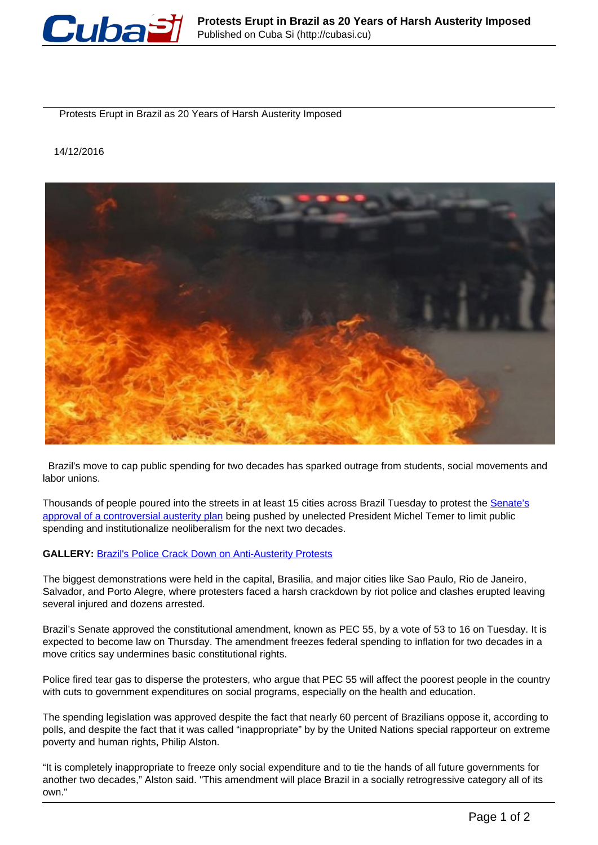

Protests Erupt in Brazil as 20 Years of Harsh Austerity Imposed

14/12/2016



 Brazil's move to cap public spending for two decades has sparked outrage from students, social movements and labor unions.

Thousands of people poured into the streets in at least 15 cities across Brazil Tuesday to protest the [Senate's](http://www.telesurtv.net/english/news/Brazil-Just-Passed-20-Year-Spending-Freeze-Thatll-Punish-Poor-20161213-0004.html) [approval of a controversial austerity plan](http://www.telesurtv.net/english/news/Brazil-Just-Passed-20-Year-Spending-Freeze-Thatll-Punish-Poor-20161213-0004.html) being pushed by unelected President Michel Temer to limit public spending and institutionalize neoliberalism for the next two decades.

## **GALLERY: Brazil's Police Crack Down on Anti-Austerity Protests**

The biggest demonstrations were held in the capital, Brasilia, and major cities like Sao Paulo, Rio de Janeiro, Salvador, and Porto Alegre, where protesters faced a harsh crackdown by riot police and clashes erupted leaving several injured and dozens arrested.

Brazil's Senate approved the constitutional amendment, known as PEC 55, by a vote of 53 to 16 on Tuesday. It is expected to become law on Thursday. The amendment freezes federal spending to inflation for two decades in a move critics say undermines basic constitutional rights.

Police fired tear gas to disperse the protesters, who argue that PEC 55 will affect the poorest people in the country with cuts to government expenditures on social programs, especially on the health and education.

The spending legislation was approved despite the fact that nearly 60 percent of Brazilians oppose it, according to polls, and despite the fact that it was called "inappropriate" by by the United Nations special rapporteur on extreme poverty and human rights, Philip Alston.

"It is completely inappropriate to freeze only social expenditure and to tie the hands of all future governments for another two decades," Alston said. "This amendment will place Brazil in a socially retrogressive category all of its own."